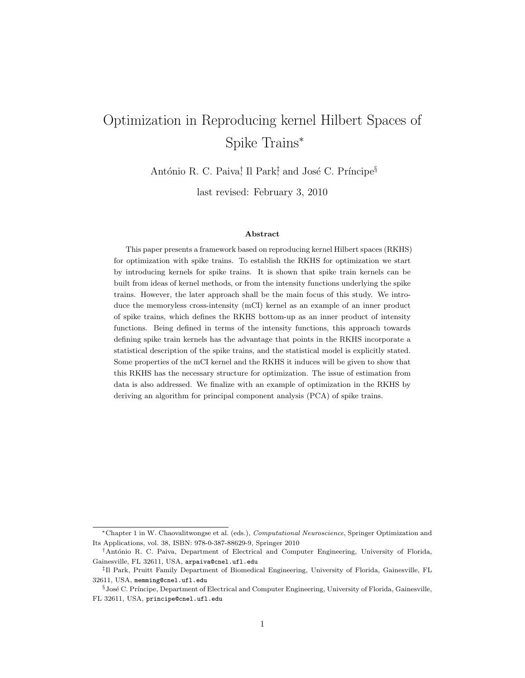# Optimization in Reproducing kernel Hilbert Spaces of Spike Trains<sup>∗</sup>

António R. C. Paiva<sup>†</sup>, Il Park<sup>‡</sup>, and José C. Príncipe<sup>§</sup>

last revised: February 3, 2010

#### Abstract

This paper presents a framework based on reproducing kernel Hilbert spaces (RKHS) for optimization with spike trains. To establish the RKHS for optimization we start by introducing kernels for spike trains. It is shown that spike train kernels can be built from ideas of kernel methods, or from the intensity functions underlying the spike trains. However, the later approach shall be the main focus of this study. We introduce the memoryless cross-intensity (mCI) kernel as an example of an inner product of spike trains, which defines the RKHS bottom-up as an inner product of intensity functions. Being defined in terms of the intensity functions, this approach towards defining spike train kernels has the advantage that points in the RKHS incorporate a statistical description of the spike trains, and the statistical model is explicitly stated. Some properties of the mCI kernel and the RKHS it induces will be given to show that this RKHS has the necessary structure for optimization. The issue of estimation from data is also addressed. We finalize with an example of optimization in the RKHS by deriving an algorithm for principal component analysis (PCA) of spike trains.

<sup>∗</sup>Chapter 1 in W. Chaovalitwongse et al. (eds.), Computational Neuroscience, Springer Optimization and Its Applications, vol. 38, ISBN: 978-0-387-88629-9, Springer 2010

<sup>&</sup>lt;sup>†</sup>António R. C. Paiva, Department of Electrical and Computer Engineering, University of Florida, Gainesville, FL 32611, USA, arpaiva@cnel.ufl.edu

<sup>‡</sup> Il Park, Pruitt Family Department of Biomedical Engineering, University of Florida, Gainesville, FL 32611, USA, memming@cnel.ufl.edu

<sup>&</sup>lt;sup>§</sup>José C. Príncipe, Department of Electrical and Computer Engineering, University of Florida, Gainesville, FL 32611, USA, principe@cnel.ufl.edu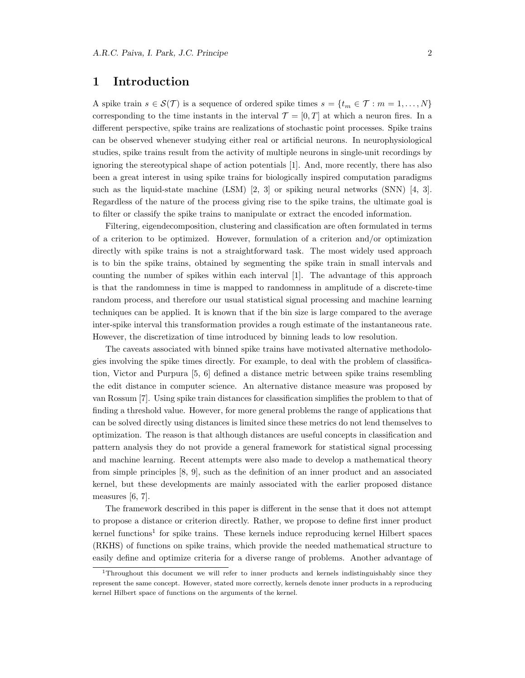## 1 Introduction

A spike train  $s \in \mathcal{S}(\mathcal{T})$  is a sequence of ordered spike times  $s = \{t_m \in \mathcal{T} : m = 1, \ldots, N\}$ corresponding to the time instants in the interval  $\mathcal{T} = [0, T]$  at which a neuron fires. In a different perspective, spike trains are realizations of stochastic point processes. Spike trains can be observed whenever studying either real or artificial neurons. In neurophysiological studies, spike trains result from the activity of multiple neurons in single-unit recordings by ignoring the stereotypical shape of action potentials [1]. And, more recently, there has also been a great interest in using spike trains for biologically inspired computation paradigms such as the liquid-state machine (LSM)  $[2, 3]$  or spiking neural networks (SNN)  $[4, 3]$ . Regardless of the nature of the process giving rise to the spike trains, the ultimate goal is to filter or classify the spike trains to manipulate or extract the encoded information.

Filtering, eigendecomposition, clustering and classification are often formulated in terms of a criterion to be optimized. However, formulation of a criterion and/or optimization directly with spike trains is not a straightforward task. The most widely used approach is to bin the spike trains, obtained by segmenting the spike train in small intervals and counting the number of spikes within each interval [1]. The advantage of this approach is that the randomness in time is mapped to randomness in amplitude of a discrete-time random process, and therefore our usual statistical signal processing and machine learning techniques can be applied. It is known that if the bin size is large compared to the average inter-spike interval this transformation provides a rough estimate of the instantaneous rate. However, the discretization of time introduced by binning leads to low resolution.

The caveats associated with binned spike trains have motivated alternative methodologies involving the spike times directly. For example, to deal with the problem of classification, Victor and Purpura [5, 6] defined a distance metric between spike trains resembling the edit distance in computer science. An alternative distance measure was proposed by van Rossum [7]. Using spike train distances for classification simplifies the problem to that of finding a threshold value. However, for more general problems the range of applications that can be solved directly using distances is limited since these metrics do not lend themselves to optimization. The reason is that although distances are useful concepts in classification and pattern analysis they do not provide a general framework for statistical signal processing and machine learning. Recent attempts were also made to develop a mathematical theory from simple principles [8, 9], such as the definition of an inner product and an associated kernel, but these developments are mainly associated with the earlier proposed distance measures [6, 7].

The framework described in this paper is different in the sense that it does not attempt to propose a distance or criterion directly. Rather, we propose to define first inner product kernel functions<sup>1</sup> for spike trains. These kernels induce reproducing kernel Hilbert spaces (RKHS) of functions on spike trains, which provide the needed mathematical structure to easily define and optimize criteria for a diverse range of problems. Another advantage of

<sup>1</sup>Throughout this document we will refer to inner products and kernels indistinguishably since they represent the same concept. However, stated more correctly, kernels denote inner products in a reproducing kernel Hilbert space of functions on the arguments of the kernel.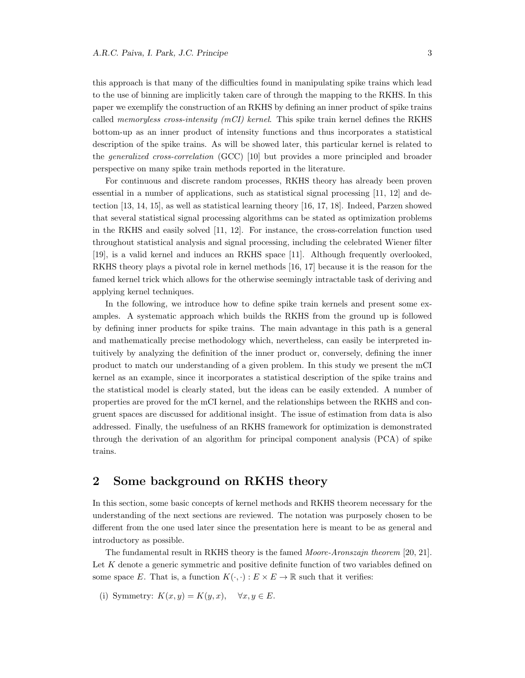this approach is that many of the difficulties found in manipulating spike trains which lead to the use of binning are implicitly taken care of through the mapping to the RKHS. In this paper we exemplify the construction of an RKHS by defining an inner product of spike trains called memoryless cross-intensity  $(mCI)$  kernel. This spike train kernel defines the RKHS bottom-up as an inner product of intensity functions and thus incorporates a statistical description of the spike trains. As will be showed later, this particular kernel is related to the generalized cross-correlation (GCC) [10] but provides a more principled and broader perspective on many spike train methods reported in the literature.

For continuous and discrete random processes, RKHS theory has already been proven essential in a number of applications, such as statistical signal processing [11, 12] and detection [13, 14, 15], as well as statistical learning theory [16, 17, 18]. Indeed, Parzen showed that several statistical signal processing algorithms can be stated as optimization problems in the RKHS and easily solved [11, 12]. For instance, the cross-correlation function used throughout statistical analysis and signal processing, including the celebrated Wiener filter [19], is a valid kernel and induces an RKHS space [11]. Although frequently overlooked, RKHS theory plays a pivotal role in kernel methods [16, 17] because it is the reason for the famed kernel trick which allows for the otherwise seemingly intractable task of deriving and applying kernel techniques.

In the following, we introduce how to define spike train kernels and present some examples. A systematic approach which builds the RKHS from the ground up is followed by defining inner products for spike trains. The main advantage in this path is a general and mathematically precise methodology which, nevertheless, can easily be interpreted intuitively by analyzing the definition of the inner product or, conversely, defining the inner product to match our understanding of a given problem. In this study we present the mCI kernel as an example, since it incorporates a statistical description of the spike trains and the statistical model is clearly stated, but the ideas can be easily extended. A number of properties are proved for the mCI kernel, and the relationships between the RKHS and congruent spaces are discussed for additional insight. The issue of estimation from data is also addressed. Finally, the usefulness of an RKHS framework for optimization is demonstrated through the derivation of an algorithm for principal component analysis (PCA) of spike trains.

## 2 Some background on RKHS theory

In this section, some basic concepts of kernel methods and RKHS theorem necessary for the understanding of the next sections are reviewed. The notation was purposely chosen to be different from the one used later since the presentation here is meant to be as general and introductory as possible.

The fundamental result in RKHS theory is the famed Moore-Aronszajn theorem [20, 21]. Let  $K$  denote a generic symmetric and positive definite function of two variables defined on some space E. That is, a function  $K(\cdot, \cdot): E \times E \to \mathbb{R}$  such that it verifies:

(i) Symmetry:  $K(x, y) = K(y, x), \quad \forall x, y \in E.$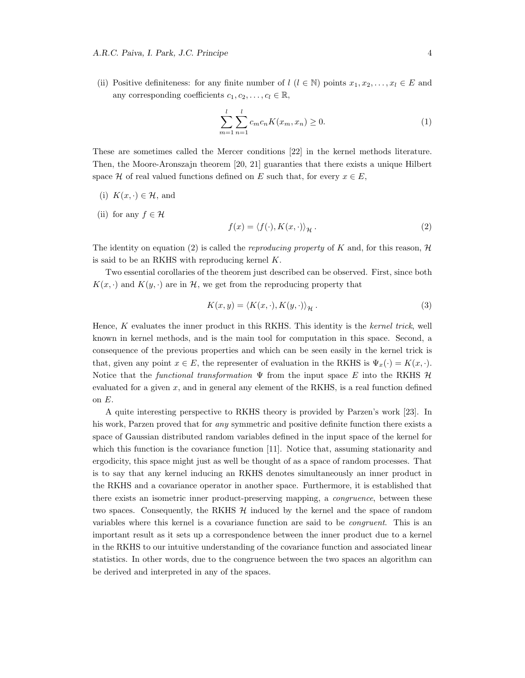(ii) Positive definiteness: for any finite number of  $l$  ( $l \in \mathbb{N}$ ) points  $x_1, x_2, \ldots, x_l \in E$  and any corresponding coefficients  $c_1, c_2, \ldots, c_l \in \mathbb{R}$ ,

$$
\sum_{m=1}^{l} \sum_{n=1}^{l} c_m c_n K(x_m, x_n) \ge 0.
$$
 (1)

These are sometimes called the Mercer conditions [22] in the kernel methods literature. Then, the Moore-Aronszajn theorem [20, 21] guaranties that there exists a unique Hilbert space H of real valued functions defined on E such that, for every  $x \in E$ ,

- (i)  $K(x, \cdot) \in \mathcal{H}$ , and
- (ii) for any  $f \in \mathcal{H}$

$$
f(x) = \langle f(\cdot), K(x, \cdot) \rangle_{\mathcal{H}}.
$$
 (2)

The identity on equation (2) is called the *reproducing property* of K and, for this reason,  $\mathcal{H}$ is said to be an RKHS with reproducing kernel K.

Two essential corollaries of the theorem just described can be observed. First, since both  $K(x, \cdot)$  and  $K(y, \cdot)$  are in H, we get from the reproducing property that

$$
K(x, y) = \langle K(x, \cdot), K(y, \cdot) \rangle_{\mathcal{H}}.
$$
\n(3)

Hence, K evaluates the inner product in this RKHS. This identity is the kernel trick, well known in kernel methods, and is the main tool for computation in this space. Second, a consequence of the previous properties and which can be seen easily in the kernel trick is that, given any point  $x \in E$ , the representer of evaluation in the RKHS is  $\Psi_x(\cdot) = K(x, \cdot)$ . Notice that the functional transformation  $\Psi$  from the input space E into the RKHS  $H$ evaluated for a given x, and in general any element of the RKHS, is a real function defined on E.

A quite interesting perspective to RKHS theory is provided by Parzen's work [23]. In his work, Parzen proved that for any symmetric and positive definite function there exists a space of Gaussian distributed random variables defined in the input space of the kernel for which this function is the covariance function [11]. Notice that, assuming stationarity and ergodicity, this space might just as well be thought of as a space of random processes. That is to say that any kernel inducing an RKHS denotes simultaneously an inner product in the RKHS and a covariance operator in another space. Furthermore, it is established that there exists an isometric inner product-preserving mapping, a *congruence*, between these two spaces. Consequently, the RKHS  $H$  induced by the kernel and the space of random variables where this kernel is a covariance function are said to be congruent. This is an important result as it sets up a correspondence between the inner product due to a kernel in the RKHS to our intuitive understanding of the covariance function and associated linear statistics. In other words, due to the congruence between the two spaces an algorithm can be derived and interpreted in any of the spaces.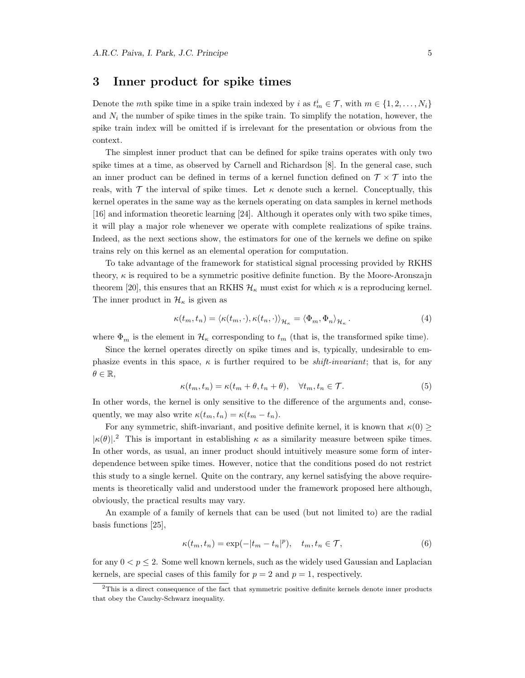## 3 Inner product for spike times

Denote the mth spike time in a spike train indexed by i as  $t_m^i \in \mathcal{T}$ , with  $m \in \{1, 2, ..., N_i\}$ and  $N_i$  the number of spike times in the spike train. To simplify the notation, however, the spike train index will be omitted if is irrelevant for the presentation or obvious from the context.

The simplest inner product that can be defined for spike trains operates with only two spike times at a time, as observed by Carnell and Richardson [8]. In the general case, such an inner product can be defined in terms of a kernel function defined on  $\mathcal{T} \times \mathcal{T}$  into the reals, with  $\mathcal T$  the interval of spike times. Let  $\kappa$  denote such a kernel. Conceptually, this kernel operates in the same way as the kernels operating on data samples in kernel methods [16] and information theoretic learning [24]. Although it operates only with two spike times, it will play a major role whenever we operate with complete realizations of spike trains. Indeed, as the next sections show, the estimators for one of the kernels we define on spike trains rely on this kernel as an elemental operation for computation.

To take advantage of the framework for statistical signal processing provided by RKHS theory,  $\kappa$  is required to be a symmetric positive definite function. By the Moore-Aronszajn theorem [20], this ensures that an RKHS  $\mathcal{H}_{\kappa}$  must exist for which  $\kappa$  is a reproducing kernel. The inner product in  $\mathcal{H}_{\kappa}$  is given as

$$
\kappa(t_m, t_n) = \langle \kappa(t_m, \cdot), \kappa(t_n, \cdot) \rangle_{\mathcal{H}_\kappa} = \langle \Phi_m, \Phi_n \rangle_{\mathcal{H}_\kappa}.
$$
 (4)

where  $\Phi_m$  is the element in  $\mathcal{H}_\kappa$  corresponding to  $t_m$  (that is, the transformed spike time).

Since the kernel operates directly on spike times and is, typically, undesirable to emphasize events in this space,  $\kappa$  is further required to be *shift-invariant*; that is, for any  $\theta \in \mathbb{R},$ 

$$
\kappa(t_m, t_n) = \kappa(t_m + \theta, t_n + \theta), \quad \forall t_m, t_n \in \mathcal{T}.
$$
\n<sup>(5)</sup>

In other words, the kernel is only sensitive to the difference of the arguments and, consequently, we may also write  $\kappa(t_m, t_n) = \kappa(t_m - t_n)$ .

For any symmetric, shift-invariant, and positive definite kernel, it is known that  $\kappa(0) \geq$  $|\kappa(\theta)|^2$  This is important in establishing  $\kappa$  as a similarity measure between spike times. In other words, as usual, an inner product should intuitively measure some form of interdependence between spike times. However, notice that the conditions posed do not restrict this study to a single kernel. Quite on the contrary, any kernel satisfying the above requirements is theoretically valid and understood under the framework proposed here although, obviously, the practical results may vary.

An example of a family of kernels that can be used (but not limited to) are the radial basis functions [25],

$$
\kappa(t_m, t_n) = \exp(-|t_m - t_n|^p), \quad t_m, t_n \in \mathcal{T},
$$
\n(6)

for any  $0 < p \leq 2$ . Some well known kernels, such as the widely used Gaussian and Laplacian kernels, are special cases of this family for  $p = 2$  and  $p = 1$ , respectively.

<sup>2</sup>This is a direct consequence of the fact that symmetric positive definite kernels denote inner products that obey the Cauchy-Schwarz inequality.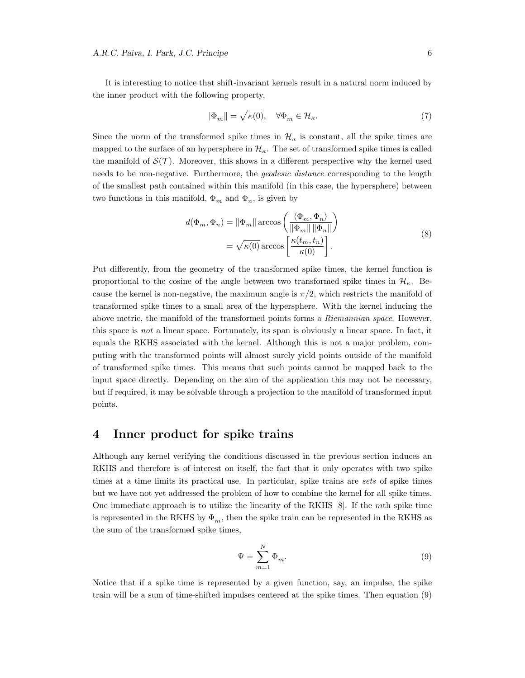It is interesting to notice that shift-invariant kernels result in a natural norm induced by the inner product with the following property,

$$
\|\Phi_m\| = \sqrt{\kappa(0)}, \quad \forall \Phi_m \in \mathcal{H}_\kappa. \tag{7}
$$

Since the norm of the transformed spike times in  $\mathcal{H}_\kappa$  is constant, all the spike times are mapped to the surface of an hypersphere in  $\mathcal{H}_{\kappa}$ . The set of transformed spike times is called the manifold of  $\mathcal{S}(\mathcal{T})$ . Moreover, this shows in a different perspective why the kernel used needs to be non-negative. Furthermore, the *geodesic distance* corresponding to the length of the smallest path contained within this manifold (in this case, the hypersphere) between two functions in this manifold,  $\Phi_m$  and  $\Phi_n$ , is given by

$$
d(\Phi_m, \Phi_n) = \|\Phi_m\| \arccos\left(\frac{\langle \Phi_m, \Phi_n \rangle}{\|\Phi_m\| \|\Phi_n\|}\right)
$$

$$
= \sqrt{\kappa(0)} \arccos\left[\frac{\kappa(t_m, t_n)}{\kappa(0)}\right].
$$
(8)

Put differently, from the geometry of the transformed spike times, the kernel function is proportional to the cosine of the angle between two transformed spike times in  $\mathcal{H}_{\kappa}$ . Because the kernel is non-negative, the maximum angle is  $\pi/2$ , which restricts the manifold of transformed spike times to a small area of the hypersphere. With the kernel inducing the above metric, the manifold of the transformed points forms a *Riemannian space*. However, this space is not a linear space. Fortunately, its span is obviously a linear space. In fact, it equals the RKHS associated with the kernel. Although this is not a major problem, computing with the transformed points will almost surely yield points outside of the manifold of transformed spike times. This means that such points cannot be mapped back to the input space directly. Depending on the aim of the application this may not be necessary, but if required, it may be solvable through a projection to the manifold of transformed input points.

## 4 Inner product for spike trains

Although any kernel verifying the conditions discussed in the previous section induces an RKHS and therefore is of interest on itself, the fact that it only operates with two spike times at a time limits its practical use. In particular, spike trains are sets of spike times but we have not yet addressed the problem of how to combine the kernel for all spike times. One immediate approach is to utilize the linearity of the RKHS  $[8]$ . If the mth spike time is represented in the RKHS by  $\Phi_m$ , then the spike train can be represented in the RKHS as the sum of the transformed spike times,

$$
\Psi = \sum_{m=1}^{N} \Phi_m.
$$
\n(9)

Notice that if a spike time is represented by a given function, say, an impulse, the spike train will be a sum of time-shifted impulses centered at the spike times. Then equation (9)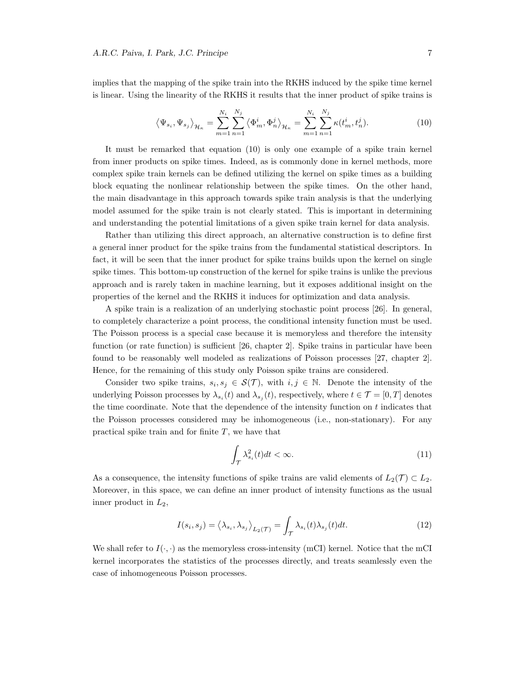implies that the mapping of the spike train into the RKHS induced by the spike time kernel is linear. Using the linearity of the RKHS it results that the inner product of spike trains is

$$
\langle \Psi_{s_i}, \Psi_{s_j} \rangle_{\mathcal{H}_{\kappa}} = \sum_{m=1}^{N_i} \sum_{n=1}^{N_j} \langle \Phi_m^i, \Phi_n^j \rangle_{\mathcal{H}_{\kappa}} = \sum_{m=1}^{N_i} \sum_{n=1}^{N_j} \kappa(t_m^i, t_n^j).
$$
 (10)

It must be remarked that equation (10) is only one example of a spike train kernel from inner products on spike times. Indeed, as is commonly done in kernel methods, more complex spike train kernels can be defined utilizing the kernel on spike times as a building block equating the nonlinear relationship between the spike times. On the other hand, the main disadvantage in this approach towards spike train analysis is that the underlying model assumed for the spike train is not clearly stated. This is important in determining and understanding the potential limitations of a given spike train kernel for data analysis.

Rather than utilizing this direct approach, an alternative construction is to define first a general inner product for the spike trains from the fundamental statistical descriptors. In fact, it will be seen that the inner product for spike trains builds upon the kernel on single spike times. This bottom-up construction of the kernel for spike trains is unlike the previous approach and is rarely taken in machine learning, but it exposes additional insight on the properties of the kernel and the RKHS it induces for optimization and data analysis.

A spike train is a realization of an underlying stochastic point process [26]. In general, to completely characterize a point process, the conditional intensity function must be used. The Poisson process is a special case because it is memoryless and therefore the intensity function (or rate function) is sufficient [26, chapter 2]. Spike trains in particular have been found to be reasonably well modeled as realizations of Poisson processes [27, chapter 2]. Hence, for the remaining of this study only Poisson spike trains are considered.

Consider two spike trains,  $s_i, s_j \in \mathcal{S}(\mathcal{T})$ , with  $i, j \in \mathbb{N}$ . Denote the intensity of the underlying Poisson processes by  $\lambda_{s_i}(t)$  and  $\lambda_{s_j}(t)$ , respectively, where  $t \in \mathcal{T} = [0, T]$  denotes the time coordinate. Note that the dependence of the intensity function on  $t$  indicates that the Poisson processes considered may be inhomogeneous (i.e., non-stationary). For any practical spike train and for finite  $T$ , we have that

$$
\int_{\mathcal{T}} \lambda_{s_i}^2(t)dt < \infty. \tag{11}
$$

As a consequence, the intensity functions of spike trains are valid elements of  $L_2(\mathcal{T}) \subset L_2$ . Moreover, in this space, we can define an inner product of intensity functions as the usual inner product in  $L_2$ ,

$$
I(s_i, s_j) = \langle \lambda_{s_i}, \lambda_{s_j} \rangle_{L_2(\mathcal{T})} = \int_{\mathcal{T}} \lambda_{s_i}(t) \lambda_{s_j}(t) dt.
$$
 (12)

We shall refer to  $I(\cdot, \cdot)$  as the memoryless cross-intensity (mCI) kernel. Notice that the mCI kernel incorporates the statistics of the processes directly, and treats seamlessly even the case of inhomogeneous Poisson processes.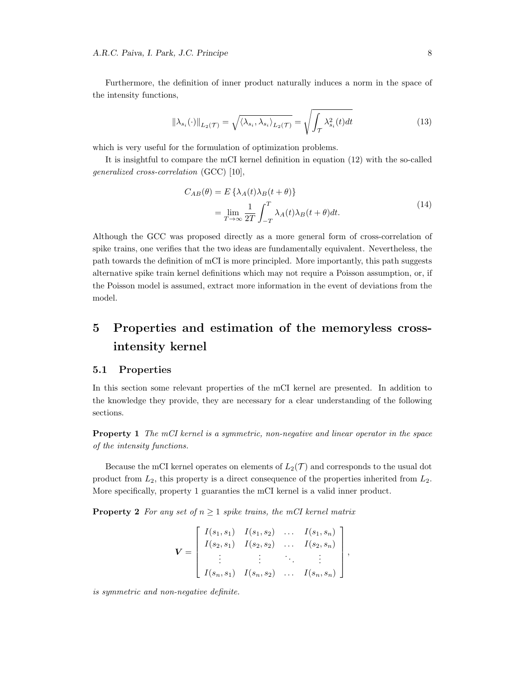Furthermore, the definition of inner product naturally induces a norm in the space of the intensity functions,

$$
\|\lambda_{s_i}(\cdot)\|_{L_2(\mathcal{T})} = \sqrt{\langle \lambda_{s_i}, \lambda_{s_i} \rangle_{L_2(\mathcal{T})}} = \sqrt{\int_{\mathcal{T}} \lambda_{s_i}^2(t)dt}
$$
\n(13)

which is very useful for the formulation of optimization problems.

It is insightful to compare the mCI kernel definition in equation (12) with the so-called generalized cross-correlation (GCC) [10],

$$
C_{AB}(\theta) = E\left\{\lambda_A(t)\lambda_B(t+\theta)\right\}
$$
  
= 
$$
\lim_{T \to \infty} \frac{1}{2T} \int_{-T}^{T} \lambda_A(t)\lambda_B(t+\theta)dt.
$$
 (14)

Although the GCC was proposed directly as a more general form of cross-correlation of spike trains, one verifies that the two ideas are fundamentally equivalent. Nevertheless, the path towards the definition of mCI is more principled. More importantly, this path suggests alternative spike train kernel definitions which may not require a Poisson assumption, or, if the Poisson model is assumed, extract more information in the event of deviations from the model.

## 5 Properties and estimation of the memoryless crossintensity kernel

#### 5.1 Properties

In this section some relevant properties of the mCI kernel are presented. In addition to the knowledge they provide, they are necessary for a clear understanding of the following sections.

**Property 1** The mCI kernel is a symmetric, non-negative and linear operator in the space of the intensity functions.

Because the mCI kernel operates on elements of  $L_2(\mathcal{T})$  and corresponds to the usual dot product from  $L_2$ , this property is a direct consequence of the properties inherited from  $L_2$ . More specifically, property 1 guaranties the mCI kernel is a valid inner product.

**Property 2** For any set of  $n \geq 1$  spike trains, the mCI kernel matrix

$$
\boldsymbol{V} = \begin{bmatrix} I(s_1, s_1) & I(s_1, s_2) & \dots & I(s_1, s_n) \\ I(s_2, s_1) & I(s_2, s_2) & \dots & I(s_2, s_n) \\ \vdots & \vdots & \ddots & \vdots \\ I(s_n, s_1) & I(s_n, s_2) & \dots & I(s_n, s_n) \end{bmatrix},
$$

is symmetric and non-negative definite.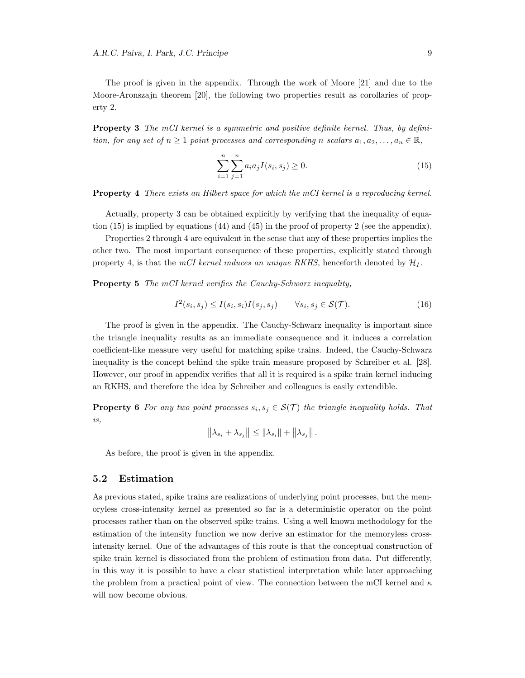The proof is given in the appendix. Through the work of Moore [21] and due to the Moore-Aronszajn theorem [20], the following two properties result as corollaries of property 2.

Property 3 The mCI kernel is a symmetric and positive definite kernel. Thus, by definition, for any set of  $n \geq 1$  point processes and corresponding n scalars  $a_1, a_2, \ldots, a_n \in \mathbb{R}$ ,

$$
\sum_{i=1}^{n} \sum_{j=1}^{n} a_i a_j I(s_i, s_j) \ge 0.
$$
\n(15)

Property 4 There exists an Hilbert space for which the mCI kernel is a reproducing kernel.

Actually, property 3 can be obtained explicitly by verifying that the inequality of equation  $(15)$  is implied by equations  $(44)$  and  $(45)$  in the proof of property 2 (see the appendix).

Properties 2 through 4 are equivalent in the sense that any of these properties implies the other two. The most important consequence of these properties, explicitly stated through property 4, is that the mCI kernel induces an unique RKHS, henceforth denoted by  $\mathcal{H}_I$ .

Property 5 The mCI kernel verifies the Cauchy-Schwarz inequality,

$$
I^{2}(s_{i}, s_{j}) \leq I(s_{i}, s_{i})I(s_{j}, s_{j}) \qquad \forall s_{i}, s_{j} \in \mathcal{S}(\mathcal{T}).
$$
\n
$$
(16)
$$

The proof is given in the appendix. The Cauchy-Schwarz inequality is important since the triangle inequality results as an immediate consequence and it induces a correlation coefficient-like measure very useful for matching spike trains. Indeed, the Cauchy-Schwarz inequality is the concept behind the spike train measure proposed by Schreiber et al. [28]. However, our proof in appendix verifies that all it is required is a spike train kernel inducing an RKHS, and therefore the idea by Schreiber and colleagues is easily extendible.

**Property 6** For any two point processes  $s_i, s_j \in \mathcal{S}(\mathcal{T})$  the triangle inequality holds. That is,

$$
\left\|\lambda_{s_i}+\lambda_{s_j}\right\|\leq \left\|\lambda_{s_i}\right\|+\left\|\lambda_{s_j}\right\|.
$$

As before, the proof is given in the appendix.

#### 5.2 Estimation

As previous stated, spike trains are realizations of underlying point processes, but the memoryless cross-intensity kernel as presented so far is a deterministic operator on the point processes rather than on the observed spike trains. Using a well known methodology for the estimation of the intensity function we now derive an estimator for the memoryless crossintensity kernel. One of the advantages of this route is that the conceptual construction of spike train kernel is dissociated from the problem of estimation from data. Put differently, in this way it is possible to have a clear statistical interpretation while later approaching the problem from a practical point of view. The connection between the mCI kernel and  $\kappa$ will now become obvious.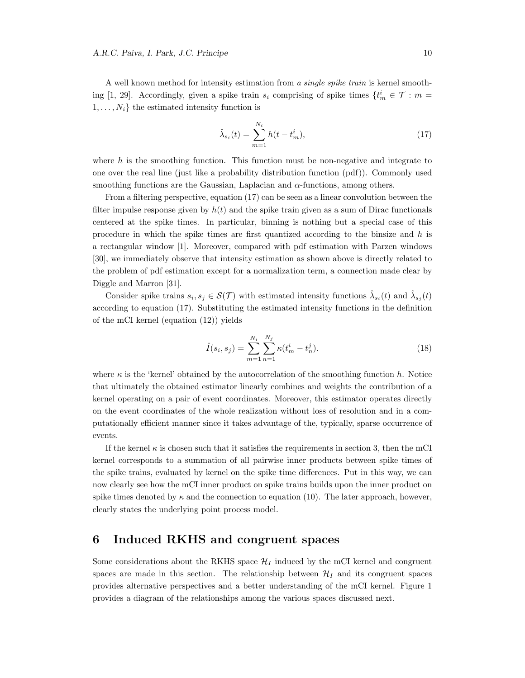A well known method for intensity estimation from a single spike train is kernel smoothing [1, 29]. Accordingly, given a spike train  $s_i$  comprising of spike times  $\{t_m^i \in \mathcal{T} : m =$  $1, \ldots, N_i$  the estimated intensity function is

$$
\hat{\lambda}_{s_i}(t) = \sum_{m=1}^{N_i} h(t - t_m^i),
$$
\n(17)

where  $h$  is the smoothing function. This function must be non-negative and integrate to one over the real line (just like a probability distribution function (pdf)). Commonly used smoothing functions are the Gaussian, Laplacian and  $\alpha$ -functions, among others.

From a filtering perspective, equation (17) can be seen as a linear convolution between the filter impulse response given by  $h(t)$  and the spike train given as a sum of Dirac functionals centered at the spike times. In particular, binning is nothing but a special case of this procedure in which the spike times are first quantized according to the binsize and  $h$  is a rectangular window [1]. Moreover, compared with pdf estimation with Parzen windows [30], we immediately observe that intensity estimation as shown above is directly related to the problem of pdf estimation except for a normalization term, a connection made clear by Diggle and Marron [31].

Consider spike trains  $s_i, s_j \in \mathcal{S}(\mathcal{T})$  with estimated intensity functions  $\hat{\lambda}_{s_i}(t)$  and  $\hat{\lambda}_{s_j}(t)$ according to equation (17). Substituting the estimated intensity functions in the definition of the mCI kernel (equation (12)) yields

$$
\hat{I}(s_i, s_j) = \sum_{m=1}^{N_i} \sum_{n=1}^{N_j} \kappa(t_m^i - t_n^j).
$$
\n(18)

where  $\kappa$  is the 'kernel' obtained by the autocorrelation of the smoothing function h. Notice that ultimately the obtained estimator linearly combines and weights the contribution of a kernel operating on a pair of event coordinates. Moreover, this estimator operates directly on the event coordinates of the whole realization without loss of resolution and in a computationally efficient manner since it takes advantage of the, typically, sparse occurrence of events.

If the kernel  $\kappa$  is chosen such that it satisfies the requirements in section 3, then the mCI kernel corresponds to a summation of all pairwise inner products between spike times of the spike trains, evaluated by kernel on the spike time differences. Put in this way, we can now clearly see how the mCI inner product on spike trains builds upon the inner product on spike times denoted by  $\kappa$  and the connection to equation (10). The later approach, however, clearly states the underlying point process model.

### 6 Induced RKHS and congruent spaces

Some considerations about the RKHS space  $\mathcal{H}_I$  induced by the mCI kernel and congruent spaces are made in this section. The relationship between  $\mathcal{H}_I$  and its congruent spaces provides alternative perspectives and a better understanding of the mCI kernel. Figure 1 provides a diagram of the relationships among the various spaces discussed next.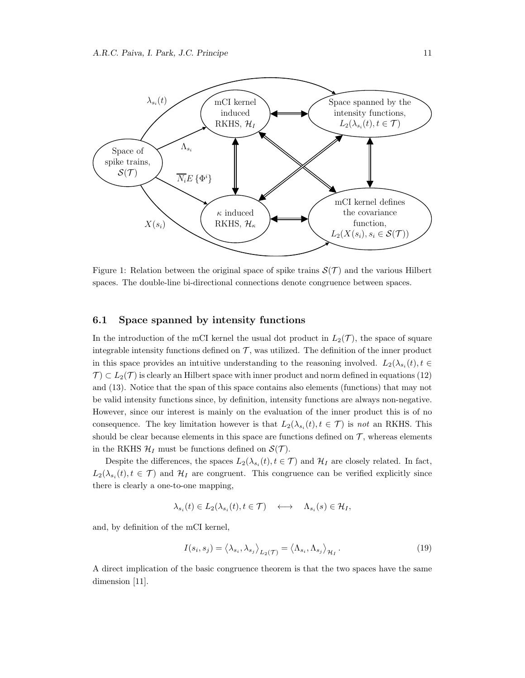

Figure 1: Relation between the original space of spike trains  $\mathcal{S}(\mathcal{T})$  and the various Hilbert spaces. The double-line bi-directional connections denote congruence between spaces.

#### 6.1 Space spanned by intensity functions

In the introduction of the mCI kernel the usual dot product in  $L_2(\mathcal{T})$ , the space of square integrable intensity functions defined on  $\mathcal T$ , was utilized. The definition of the inner product in this space provides an intuitive understanding to the reasoning involved.  $L_2(\lambda_{s_i}(t), t \in$  $\mathcal{T} \subset L_2(\mathcal{T})$  is clearly an Hilbert space with inner product and norm defined in equations (12) and (13). Notice that the span of this space contains also elements (functions) that may not be valid intensity functions since, by definition, intensity functions are always non-negative. However, since our interest is mainly on the evaluation of the inner product this is of no consequence. The key limitation however is that  $L_2(\lambda_{s_i}(t), t \in \mathcal{T})$  is not an RKHS. This should be clear because elements in this space are functions defined on  $\mathcal{T}$ , whereas elements in the RKHS  $\mathcal{H}_I$  must be functions defined on  $\mathcal{S}(\mathcal{T})$ .

Despite the differences, the spaces  $L_2(\lambda_{s_i}(t), t \in \mathcal{T})$  and  $\mathcal{H}_I$  are closely related. In fact,  $L_2(\lambda_{s_i}(t), t \in \mathcal{T})$  and  $\mathcal{H}_I$  are congruent. This congruence can be verified explicitly since there is clearly a one-to-one mapping,

$$
\lambda_{s_i}(t) \in L_2(\lambda_{s_i}(t), t \in \mathcal{T}) \quad \longleftrightarrow \quad \Lambda_{s_i}(s) \in \mathcal{H}_I,
$$

and, by definition of the mCI kernel,

$$
I(s_i, s_j) = \langle \lambda_{s_i}, \lambda_{s_j} \rangle_{L_2(\mathcal{T})} = \langle \Lambda_{s_i}, \Lambda_{s_j} \rangle_{\mathcal{H}_I}.
$$
\n(19)

A direct implication of the basic congruence theorem is that the two spaces have the same dimension [11].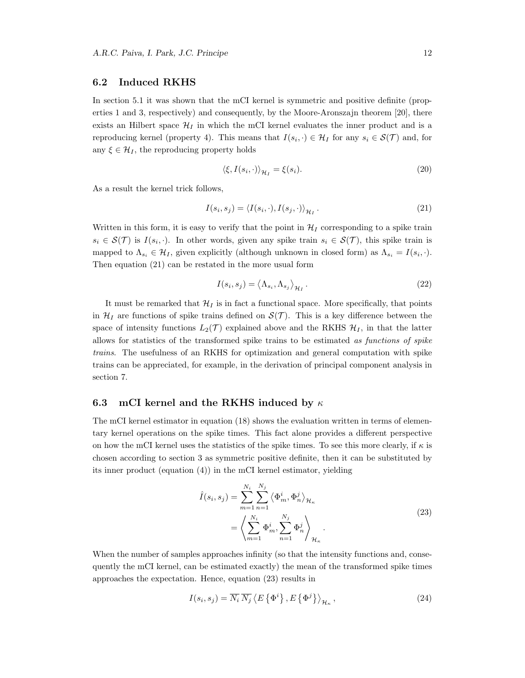#### 6.2 Induced RKHS

In section 5.1 it was shown that the mCI kernel is symmetric and positive definite (properties 1 and 3, respectively) and consequently, by the Moore-Aronszajn theorem [20], there exists an Hilbert space  $\mathcal{H}_I$  in which the mCI kernel evaluates the inner product and is a reproducing kernel (property 4). This means that  $I(s_i, \cdot) \in \mathcal{H}_I$  for any  $s_i \in \mathcal{S}(\mathcal{T})$  and, for any  $\xi \in \mathcal{H}_I$ , the reproducing property holds

$$
\langle \xi, I(s_i, \cdot) \rangle_{\mathcal{H}_I} = \xi(s_i). \tag{20}
$$

As a result the kernel trick follows,

$$
I(s_i, s_j) = \langle I(s_i, \cdot), I(s_j, \cdot) \rangle_{\mathcal{H}_I}.
$$
\n(21)

Written in this form, it is easy to verify that the point in  $\mathcal{H}_I$  corresponding to a spike train  $s_i \in \mathcal{S}(\mathcal{T})$  is  $I(s_i, \cdot)$ . In other words, given any spike train  $s_i \in \mathcal{S}(\mathcal{T})$ , this spike train is mapped to  $\Lambda_{s_i} \in \mathcal{H}_I$ , given explicitly (although unknown in closed form) as  $\Lambda_{s_i} = I(s_i, \cdot)$ . Then equation (21) can be restated in the more usual form

$$
I(s_i, s_j) = \langle \Lambda_{s_i}, \Lambda_{s_j} \rangle_{\mathcal{H}_I}.
$$
\n(22)

It must be remarked that  $\mathcal{H}_I$  is in fact a functional space. More specifically, that points in  $\mathcal{H}_I$  are functions of spike trains defined on  $\mathcal{S}(\mathcal{T})$ . This is a key difference between the space of intensity functions  $L_2(\mathcal{T})$  explained above and the RKHS  $\mathcal{H}_I$ , in that the latter allows for statistics of the transformed spike trains to be estimated as functions of spike trains. The usefulness of an RKHS for optimization and general computation with spike trains can be appreciated, for example, in the derivation of principal component analysis in section 7.

#### 6.3 mCI kernel and the RKHS induced by  $\kappa$

The mCI kernel estimator in equation (18) shows the evaluation written in terms of elementary kernel operations on the spike times. This fact alone provides a different perspective on how the mCI kernel uses the statistics of the spike times. To see this more clearly, if  $\kappa$  is chosen according to section 3 as symmetric positive definite, then it can be substituted by its inner product (equation (4)) in the mCI kernel estimator, yielding

$$
\hat{I}(s_i, s_j) = \sum_{m=1}^{N_i} \sum_{n=1}^{N_j} \left\langle \Phi_m^i, \Phi_n^j \right\rangle_{\mathcal{H}_\kappa} \n= \left\langle \sum_{m=1}^{N_i} \Phi_m^i, \sum_{n=1}^{N_j} \Phi_n^j \right\rangle_{\mathcal{H}_\kappa}.
$$
\n(23)

When the number of samples approaches infinity (so that the intensity functions and, consequently the mCI kernel, can be estimated exactly) the mean of the transformed spike times approaches the expectation. Hence, equation (23) results in

$$
I(s_i, s_j) = \overline{N_i} \, \overline{N_j} \left\langle E \left\{ \Phi^i \right\}, E \left\{ \Phi^j \right\} \right\rangle_{\mathcal{H}_\kappa},\tag{24}
$$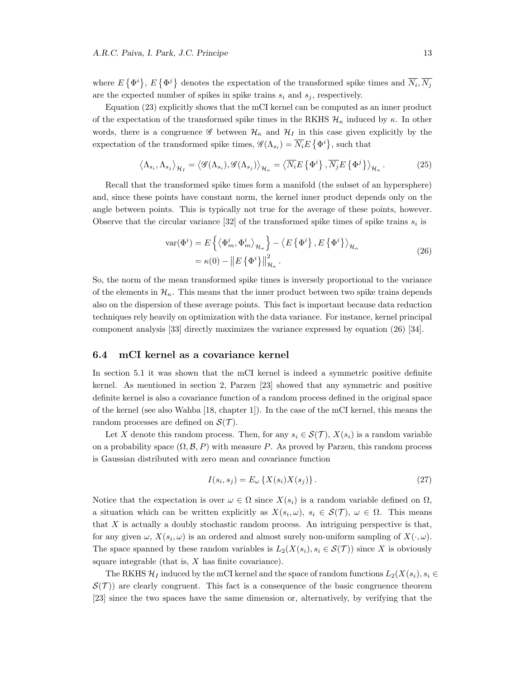where  $E\{\Phi^i\}, E\{\Phi^j\}$  denotes the expectation of the transformed spike times and  $\overline{N_i}, \overline{N_j}$ are the expected number of spikes in spike trains  $s_i$  and  $s_j$ , respectively.

Equation (23) explicitly shows that the mCI kernel can be computed as an inner product of the expectation of the transformed spike times in the RKHS  $\mathcal{H}_{\kappa}$  induced by  $\kappa$ . In other words, there is a congruence  $\mathscr G$  between  $\mathcal H_\kappa$  and  $\mathcal H_I$  in this case given explicitly by the expectation of the transformed spike times,  $\mathscr{G}(\Lambda_{s_i}) = \overline{N_i} E\{\Phi^i\}$ , such that

$$
\left\langle \Lambda_{s_i}, \Lambda_{s_j} \right\rangle_{\mathcal{H}_I} = \left\langle \mathcal{G}(\Lambda_{s_i}), \mathcal{G}(\Lambda_{s_j}) \right\rangle_{\mathcal{H}_\kappa} = \left\langle \overline{N_i} E \left\{ \Phi^i \right\}, \overline{N_j} E \left\{ \Phi^j \right\} \right\rangle_{\mathcal{H}_\kappa} . \tag{25}
$$

Recall that the transformed spike times form a manifold (the subset of an hypersphere) and, since these points have constant norm, the kernel inner product depends only on the angle between points. This is typically not true for the average of these points, however. Observe that the circular variance [32] of the transformed spike times of spike trains  $s_i$  is

$$
\begin{split} \text{var}(\Phi^i) &= E\left\{ \left\langle \Phi^i_m, \Phi^i_m \right\rangle_{\mathcal{H}_\kappa} \right\} - \left\langle E\left\{ \Phi^i \right\}, E\left\{ \Phi^i \right\} \right\rangle_{\mathcal{H}_\kappa} \\ &= \kappa(0) - \left\| E\left\{ \Phi^i \right\} \right\|_{\mathcal{H}_\kappa}^2. \end{split} \tag{26}
$$

So, the norm of the mean transformed spike times is inversely proportional to the variance of the elements in  $\mathcal{H}_{\kappa}$ . This means that the inner product between two spike trains depends also on the dispersion of these average points. This fact is important because data reduction techniques rely heavily on optimization with the data variance. For instance, kernel principal component analysis [33] directly maximizes the variance expressed by equation (26) [34].

#### 6.4 mCI kernel as a covariance kernel

In section 5.1 it was shown that the mCI kernel is indeed a symmetric positive definite kernel. As mentioned in section 2, Parzen [23] showed that any symmetric and positive definite kernel is also a covariance function of a random process defined in the original space of the kernel (see also Wahba [18, chapter 1]). In the case of the mCI kernel, this means the random processes are defined on  $\mathcal{S}(\mathcal{T})$ .

Let X denote this random process. Then, for any  $s_i \in \mathcal{S}(\mathcal{T}), X(s_i)$  is a random variable on a probability space  $(\Omega, \mathcal{B}, P)$  with measure P. As proved by Parzen, this random process is Gaussian distributed with zero mean and covariance function

$$
I(s_i, s_j) = E_{\omega} \left\{ X(s_i) X(s_j) \right\}.
$$
\n
$$
(27)
$$

Notice that the expectation is over  $\omega \in \Omega$  since  $X(s_i)$  is a random variable defined on  $\Omega$ , a situation which can be written explicitly as  $X(s_i, \omega)$ ,  $s_i \in S(\mathcal{T})$ ,  $\omega \in \Omega$ . This means that  $X$  is actually a doubly stochastic random process. An intriguing perspective is that, for any given  $\omega$ ,  $X(s_i, \omega)$  is an ordered and almost surely non-uniform sampling of  $X(\cdot, \omega)$ . The space spanned by these random variables is  $L_2(X(s_i), s_i \in \mathcal{S}(\mathcal{T}))$  since X is obviously square integrable (that is,  $X$  has finite covariance).

The RKHS  $\mathcal{H}_I$  induced by the mCI kernel and the space of random functions  $L_2(X(s_i), s_i \in$  $S(\mathcal{T})$  are clearly congruent. This fact is a consequence of the basic congruence theorem [23] since the two spaces have the same dimension or, alternatively, by verifying that the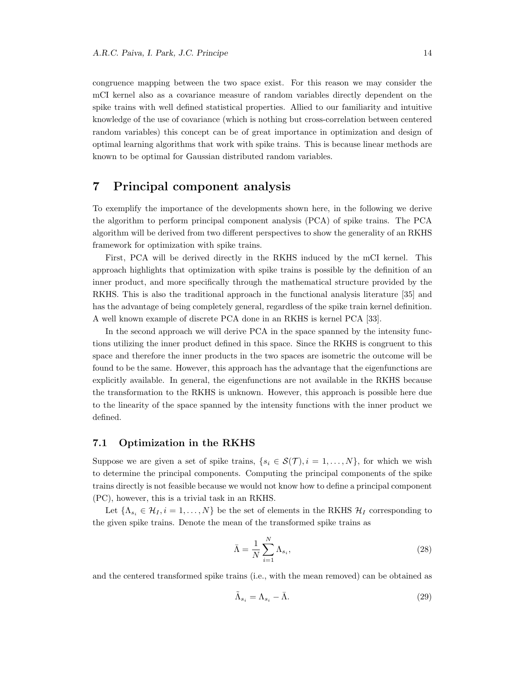congruence mapping between the two space exist. For this reason we may consider the mCI kernel also as a covariance measure of random variables directly dependent on the spike trains with well defined statistical properties. Allied to our familiarity and intuitive knowledge of the use of covariance (which is nothing but cross-correlation between centered random variables) this concept can be of great importance in optimization and design of optimal learning algorithms that work with spike trains. This is because linear methods are known to be optimal for Gaussian distributed random variables.

## 7 Principal component analysis

To exemplify the importance of the developments shown here, in the following we derive the algorithm to perform principal component analysis (PCA) of spike trains. The PCA algorithm will be derived from two different perspectives to show the generality of an RKHS framework for optimization with spike trains.

First, PCA will be derived directly in the RKHS induced by the mCI kernel. This approach highlights that optimization with spike trains is possible by the definition of an inner product, and more specifically through the mathematical structure provided by the RKHS. This is also the traditional approach in the functional analysis literature [35] and has the advantage of being completely general, regardless of the spike train kernel definition. A well known example of discrete PCA done in an RKHS is kernel PCA [33].

In the second approach we will derive PCA in the space spanned by the intensity functions utilizing the inner product defined in this space. Since the RKHS is congruent to this space and therefore the inner products in the two spaces are isometric the outcome will be found to be the same. However, this approach has the advantage that the eigenfunctions are explicitly available. In general, the eigenfunctions are not available in the RKHS because the transformation to the RKHS is unknown. However, this approach is possible here due to the linearity of the space spanned by the intensity functions with the inner product we defined.

#### 7.1 Optimization in the RKHS

Suppose we are given a set of spike trains,  $\{s_i \in \mathcal{S}(\mathcal{T}), i = 1, ..., N\}$ , for which we wish to determine the principal components. Computing the principal components of the spike trains directly is not feasible because we would not know how to define a principal component (PC), however, this is a trivial task in an RKHS.

Let  $\{\Lambda_{s_i} \in \mathcal{H}_I, i = 1, \ldots, N\}$  be the set of elements in the RKHS  $\mathcal{H}_I$  corresponding to the given spike trains. Denote the mean of the transformed spike trains as

$$
\bar{\Lambda} = \frac{1}{N} \sum_{i=1}^{N} \Lambda_{s_i},\tag{28}
$$

and the centered transformed spike trains (i.e., with the mean removed) can be obtained as

$$
\tilde{\Lambda}_{s_i} = \Lambda_{s_i} - \bar{\Lambda}.\tag{29}
$$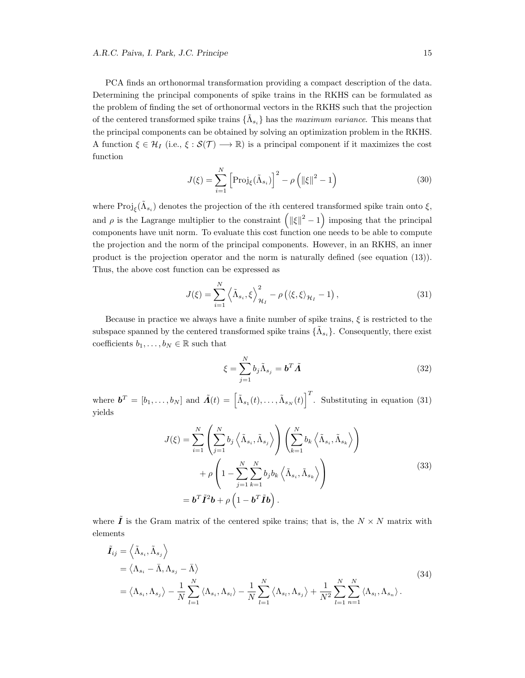PCA finds an orthonormal transformation providing a compact description of the data. Determining the principal components of spike trains in the RKHS can be formulated as the problem of finding the set of orthonormal vectors in the RKHS such that the projection of the centered transformed spike trains  $\{\tilde{\Lambda}_{s_i}\}\$  has the *maximum variance*. This means that the principal components can be obtained by solving an optimization problem in the RKHS. A function  $\xi \in \mathcal{H}_I$  (i.e.,  $\xi : \mathcal{S}(\mathcal{T}) \longrightarrow \mathbb{R}$ ) is a principal component if it maximizes the cost function

$$
J(\xi) = \sum_{i=1}^{N} \left[ \text{Proj}_{\xi}(\tilde{\Lambda}_{s_i}) \right]^2 - \rho \left( \|\xi\|^2 - 1 \right)
$$
 (30)

where  $\text{Proj}_{\xi}(\tilde{\Lambda}_{s_i})$  denotes the projection of the *i*th centered transformed spike train onto  $\xi$ , and  $\rho$  is the Lagrange multiplier to the constraint  $\left(\|\xi\|^2 - 1\right)$  imposing that the principal components have unit norm. To evaluate this cost function one needs to be able to compute the projection and the norm of the principal components. However, in an RKHS, an inner product is the projection operator and the norm is naturally defined (see equation (13)). Thus, the above cost function can be expressed as

$$
J(\xi) = \sum_{i=1}^{N} \left\langle \tilde{\Lambda}_{s_i}, \xi \right\rangle_{\mathcal{H}_I}^2 - \rho \left( \langle \xi, \xi \rangle_{\mathcal{H}_I} - 1 \right), \tag{31}
$$

Because in practice we always have a finite number of spike trains,  $\xi$  is restricted to the subspace spanned by the centered transformed spike trains  $\{\tilde{\Lambda}_{s_i}\}\$ . Consequently, there exist coefficients  $b_1, \ldots, b_N \in \mathbb{R}$  such that

$$
\xi = \sum_{j=1}^{N} b_j \tilde{\Lambda}_{s_j} = \mathbf{b}^T \tilde{\mathbf{\Lambda}} \tag{32}
$$

where  $\boldsymbol{b}^T = [b_1, \ldots, b_N]$  and  $\tilde{\boldsymbol{\Lambda}}(t) = \begin{bmatrix} \tilde{\Lambda}_{s_1}(t), \ldots, \tilde{\Lambda}_{s_N}(t) \end{bmatrix}^T$ . Substituting in equation (31) yields

$$
J(\xi) = \sum_{i=1}^{N} \left( \sum_{j=1}^{N} b_j \left\langle \tilde{\Lambda}_{s_i}, \tilde{\Lambda}_{s_j} \right\rangle \right) \left( \sum_{k=1}^{N} b_k \left\langle \tilde{\Lambda}_{s_i}, \tilde{\Lambda}_{s_k} \right\rangle \right) + \rho \left( 1 - \sum_{j=1}^{N} \sum_{k=1}^{N} b_j b_k \left\langle \tilde{\Lambda}_{s_i}, \tilde{\Lambda}_{s_k} \right\rangle \right) = \mathbf{b}^T \tilde{\mathbf{I}}^2 \mathbf{b} + \rho \left( 1 - \mathbf{b}^T \tilde{\mathbf{I}} \mathbf{b} \right).
$$
 (33)

where  $\tilde{I}$  is the Gram matrix of the centered spike trains; that is, the  $N \times N$  matrix with elements

$$
\tilde{I}_{ij} = \left\langle \tilde{\Lambda}_{s_i}, \tilde{\Lambda}_{s_j} \right\rangle \n= \left\langle \Lambda_{s_i} - \bar{\Lambda}, \Lambda_{s_j} - \bar{\Lambda} \right\rangle \n= \left\langle \Lambda_{s_i}, \Lambda_{s_j} \right\rangle - \frac{1}{N} \sum_{l=1}^N \left\langle \Lambda_{s_i}, \Lambda_{s_l} \right\rangle - \frac{1}{N} \sum_{l=1}^N \left\langle \Lambda_{s_l}, \Lambda_{s_j} \right\rangle + \frac{1}{N^2} \sum_{l=1}^N \sum_{n=1}^N \left\langle \Lambda_{s_l}, \Lambda_{s_n} \right\rangle.
$$
\n(34)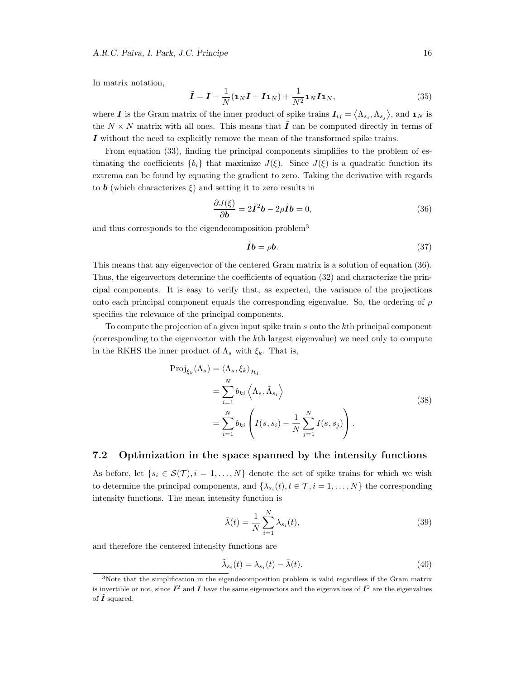In matrix notation,

$$
\tilde{\boldsymbol{I}} = \boldsymbol{I} - \frac{1}{N} (\mathbf{1}_N \boldsymbol{I} + \boldsymbol{I} \mathbf{1}_N) + \frac{1}{N^2} \mathbf{1}_N \boldsymbol{I} \mathbf{1}_N, \tag{35}
$$

where **I** is the Gram matrix of the inner product of spike trains  $I_{ij} = \langle \Lambda_{s_i}, \Lambda_{s_j} \rangle$ , and  $\mathbf{1}_N$  is the  $N \times N$  matrix with all ones. This means that  $\hat{I}$  can be computed directly in terms of I without the need to explicitly remove the mean of the transformed spike trains.

From equation (33), finding the principal components simplifies to the problem of estimating the coefficients  $\{b_i\}$  that maximize  $J(\xi)$ . Since  $J(\xi)$  is a quadratic function its extrema can be found by equating the gradient to zero. Taking the derivative with regards to **b** (which characterizes  $\xi$ ) and setting it to zero results in

$$
\frac{\partial J(\xi)}{\partial \mathbf{b}} = 2\tilde{\mathbf{\Gamma}}^2 \mathbf{b} - 2\rho \tilde{\mathbf{\Pi}} \mathbf{b} = 0, \tag{36}
$$

and thus corresponds to the eigendecomposition problem<sup>3</sup>

$$
\tilde{\bm{I}}\bm{b} = \rho \bm{b}.\tag{37}
$$

This means that any eigenvector of the centered Gram matrix is a solution of equation (36). Thus, the eigenvectors determine the coefficients of equation (32) and characterize the principal components. It is easy to verify that, as expected, the variance of the projections onto each principal component equals the corresponding eigenvalue. So, the ordering of  $\rho$ specifies the relevance of the principal components.

To compute the projection of a given input spike train s onto the kth principal component (corresponding to the eigenvector with the kth largest eigenvalue) we need only to compute in the RKHS the inner product of  $\Lambda_s$  with  $\xi_k$ . That is,

$$
\begin{split} \text{Proj}_{\xi_{k}}(\Lambda_{s}) &= \langle \Lambda_{s}, \xi_{k} \rangle_{\mathcal{H}_{I}} \\ &= \sum_{i=1}^{N} b_{ki} \left\langle \Lambda_{s}, \tilde{\Lambda}_{s_{i}} \right\rangle \\ &= \sum_{i=1}^{N} b_{ki} \left( I(s, s_{i}) - \frac{1}{N} \sum_{j=1}^{N} I(s, s_{j}) \right). \end{split} \tag{38}
$$

#### 7.2 Optimization in the space spanned by the intensity functions

As before, let  $\{s_i \in \mathcal{S}(\mathcal{T}), i = 1, ..., N\}$  denote the set of spike trains for which we wish to determine the principal components, and  $\{\lambda_{s_i}(t), t \in \mathcal{T}, i = 1, ..., N\}$  the corresponding intensity functions. The mean intensity function is

$$
\bar{\lambda}(t) = \frac{1}{N} \sum_{i=1}^{N} \lambda_{s_i}(t),
$$
\n(39)

and therefore the centered intensity functions are

$$
\tilde{\lambda}_{s_i}(t) = \lambda_{s_i}(t) - \bar{\lambda}(t). \tag{40}
$$

<sup>3</sup>Note that the simplification in the eigendecomposition problem is valid regardless if the Gram matrix is invertible or not, since  $\tilde{I}^2$  and  $\tilde{I}$  have the same eigenvectors and the eigenvalues of  $\tilde{I}^2$  are the eigenvalues of  $\tilde{I}$  squared.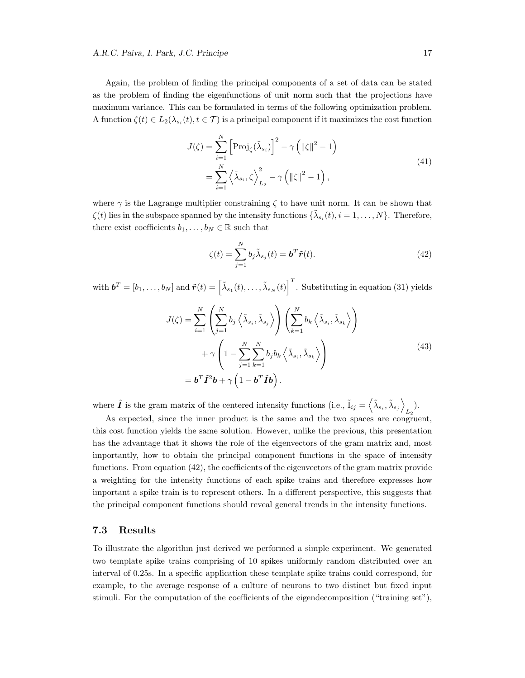Again, the problem of finding the principal components of a set of data can be stated as the problem of finding the eigenfunctions of unit norm such that the projections have maximum variance. This can be formulated in terms of the following optimization problem. A function  $\zeta(t) \in L_2(\lambda_{s_i}(t), t \in \mathcal{T})$  is a principal component if it maximizes the cost function

$$
J(\zeta) = \sum_{i=1}^{N} \left[ \text{Proj}_{\zeta}(\tilde{\lambda}_{s_i}) \right]^2 - \gamma \left( \|\zeta\|^2 - 1 \right)
$$
  
= 
$$
\sum_{i=1}^{N} \left\langle \tilde{\lambda}_{s_i}, \zeta \right\rangle_{L_2}^2 - \gamma \left( \|\zeta\|^2 - 1 \right),
$$
 (41)

where  $\gamma$  is the Lagrange multiplier constraining  $\zeta$  to have unit norm. It can be shown that  $\zeta(t)$  lies in the subspace spanned by the intensity functions  $\{\tilde{\lambda}_{s_i}(t), i = 1, \ldots, N\}$ . Therefore, there exist coefficients  $b_1, \ldots, b_N \in \mathbb{R}$  such that

$$
\zeta(t) = \sum_{j=1}^{N} b_j \tilde{\lambda}_{s_j}(t) = \mathbf{b}^T \tilde{\mathbf{r}}(t). \tag{42}
$$

with  $\boldsymbol{b}^T = [b_1,\ldots,b_N]$  and  $\tilde{\boldsymbol{r}}(t) = \left[\tilde{\lambda}_{s_1}(t),\ldots,\tilde{\lambda}_{s_N}(t)\right]^T$ . Substituting in equation (31) yields

$$
J(\zeta) = \sum_{i=1}^{N} \left( \sum_{j=1}^{N} b_j \left\langle \tilde{\lambda}_{s_i}, \tilde{\lambda}_{s_j} \right\rangle \right) \left( \sum_{k=1}^{N} b_k \left\langle \tilde{\lambda}_{s_i}, \tilde{\lambda}_{s_k} \right\rangle \right) + \gamma \left( 1 - \sum_{j=1}^{N} \sum_{k=1}^{N} b_j b_k \left\langle \tilde{\lambda}_{s_i}, \tilde{\lambda}_{s_k} \right\rangle \right) = \mathbf{b}^T \tilde{\mathbf{I}}^2 \mathbf{b} + \gamma \left( 1 - \mathbf{b}^T \tilde{\mathbf{I}} \mathbf{b} \right).
$$
 (43)

where  $\tilde{I}$  is the gram matrix of the centered intensity functions (i.e.,  $\tilde{I}_{ij} = \langle \tilde{\lambda}_{s_i}, \tilde{\lambda}_{s_j} \rangle$  $_{L_2}$ ).

As expected, since the inner product is the same and the two spaces are congruent, this cost function yields the same solution. However, unlike the previous, this presentation has the advantage that it shows the role of the eigenvectors of the gram matrix and, most importantly, how to obtain the principal component functions in the space of intensity functions. From equation (42), the coefficients of the eigenvectors of the gram matrix provide a weighting for the intensity functions of each spike trains and therefore expresses how important a spike train is to represent others. In a different perspective, this suggests that the principal component functions should reveal general trends in the intensity functions.

#### 7.3 Results

To illustrate the algorithm just derived we performed a simple experiment. We generated two template spike trains comprising of 10 spikes uniformly random distributed over an interval of 0.25s. In a specific application these template spike trains could correspond, for example, to the average response of a culture of neurons to two distinct but fixed input stimuli. For the computation of the coefficients of the eigendecomposition ("training set"),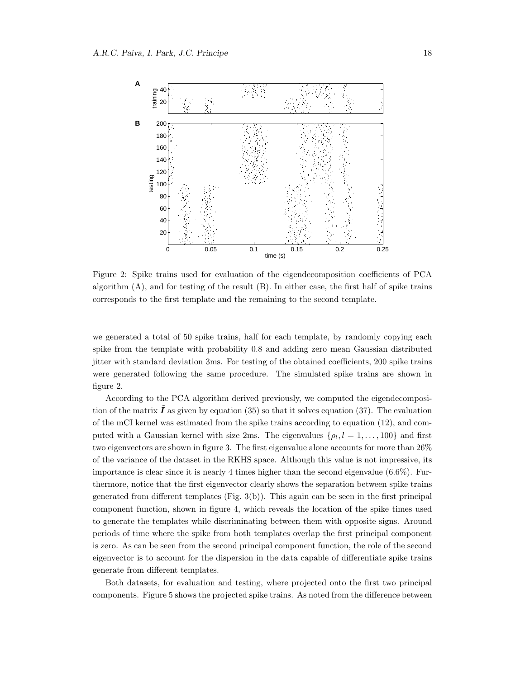

Figure 2: Spike trains used for evaluation of the eigendecomposition coefficients of PCA algorithm  $(A)$ , and for testing of the result  $(B)$ . In either case, the first half of spike trains corresponds to the first template and the remaining to the second template.

we generated a total of 50 spike trains, half for each template, by randomly copying each spike from the template with probability 0.8 and adding zero mean Gaussian distributed jitter with standard deviation 3ms. For testing of the obtained coefficients, 200 spike trains were generated following the same procedure. The simulated spike trains are shown in figure 2.

According to the PCA algorithm derived previously, we computed the eigendecomposition of the matrix  $\bm{I}$  as given by equation (35) so that it solves equation (37). The evaluation of the mCI kernel was estimated from the spike trains according to equation (12), and computed with a Gaussian kernel with size 2ms. The eigenvalues  $\{\rho_l, l = 1, \ldots, 100\}$  and first two eigenvectors are shown in figure 3. The first eigenvalue alone accounts for more than 26% of the variance of the dataset in the RKHS space. Although this value is not impressive, its importance is clear since it is nearly 4 times higher than the second eigenvalue  $(6.6\%)$ . Furthermore, notice that the first eigenvector clearly shows the separation between spike trains generated from different templates  $(Fig. 3(b))$ . This again can be seen in the first principal component function, shown in figure 4, which reveals the location of the spike times used to generate the templates while discriminating between them with opposite signs. Around periods of time where the spike from both templates overlap the first principal component is zero. As can be seen from the second principal component function, the role of the second eigenvector is to account for the dispersion in the data capable of differentiate spike trains generate from different templates.

Both datasets, for evaluation and testing, where projected onto the first two principal components. Figure 5 shows the projected spike trains. As noted from the difference between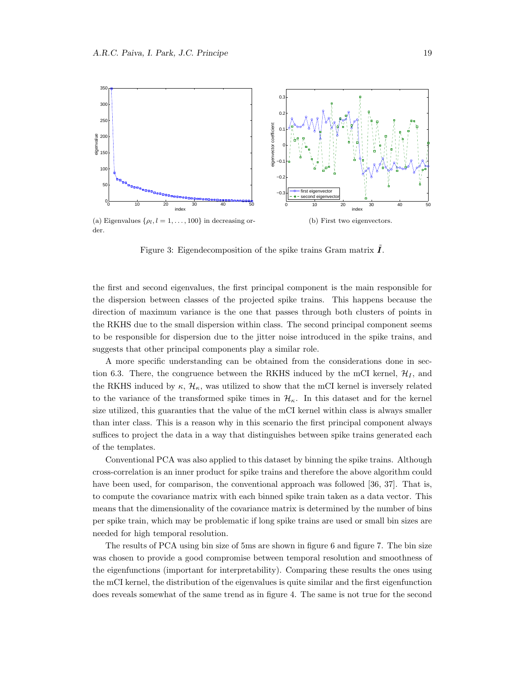

Figure 3: Eigendecomposition of the spike trains Gram matrix  $I$ .

the first and second eigenvalues, the first principal component is the main responsible for the dispersion between classes of the projected spike trains. This happens because the direction of maximum variance is the one that passes through both clusters of points in the RKHS due to the small dispersion within class. The second principal component seems to be responsible for dispersion due to the jitter noise introduced in the spike trains, and suggests that other principal components play a similar role.

A more specific understanding can be obtained from the considerations done in section 6.3. There, the congruence between the RKHS induced by the mCI kernel,  $\mathcal{H}_I$ , and the RKHS induced by  $\kappa$ ,  $\mathcal{H}_{\kappa}$ , was utilized to show that the mCI kernel is inversely related to the variance of the transformed spike times in  $\mathcal{H}_{\kappa}$ . In this dataset and for the kernel size utilized, this guaranties that the value of the mCI kernel within class is always smaller than inter class. This is a reason why in this scenario the first principal component always suffices to project the data in a way that distinguishes between spike trains generated each of the templates.

Conventional PCA was also applied to this dataset by binning the spike trains. Although cross-correlation is an inner product for spike trains and therefore the above algorithm could have been used, for comparison, the conventional approach was followed [36, 37]. That is, to compute the covariance matrix with each binned spike train taken as a data vector. This means that the dimensionality of the covariance matrix is determined by the number of bins per spike train, which may be problematic if long spike trains are used or small bin sizes are needed for high temporal resolution.

The results of PCA using bin size of 5ms are shown in figure 6 and figure 7. The bin size was chosen to provide a good compromise between temporal resolution and smoothness of the eigenfunctions (important for interpretability). Comparing these results the ones using the mCI kernel, the distribution of the eigenvalues is quite similar and the first eigenfunction does reveals somewhat of the same trend as in figure 4. The same is not true for the second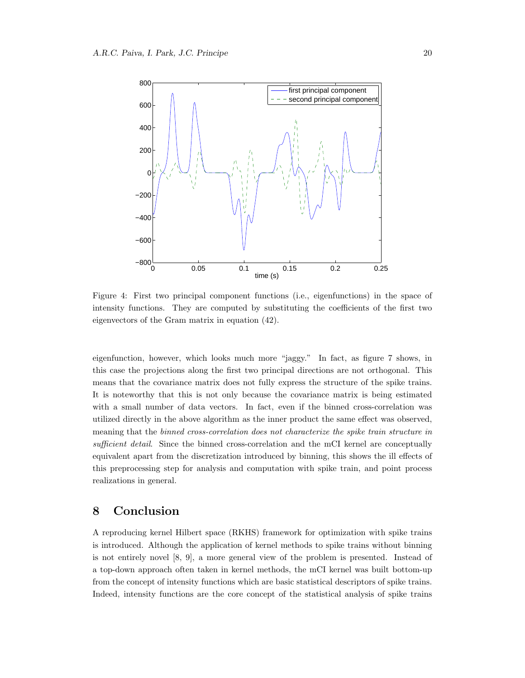![](_page_19_Figure_1.jpeg)

Figure 4: First two principal component functions (i.e., eigenfunctions) in the space of intensity functions. They are computed by substituting the coefficients of the first two eigenvectors of the Gram matrix in equation (42).

eigenfunction, however, which looks much more "jaggy." In fact, as figure 7 shows, in this case the projections along the first two principal directions are not orthogonal. This means that the covariance matrix does not fully express the structure of the spike trains. It is noteworthy that this is not only because the covariance matrix is being estimated with a small number of data vectors. In fact, even if the binned cross-correlation was utilized directly in the above algorithm as the inner product the same effect was observed, meaning that the binned cross-correlation does not characterize the spike train structure in sufficient detail. Since the binned cross-correlation and the mCI kernel are conceptually equivalent apart from the discretization introduced by binning, this shows the ill effects of this preprocessing step for analysis and computation with spike train, and point process realizations in general.

## 8 Conclusion

A reproducing kernel Hilbert space (RKHS) framework for optimization with spike trains is introduced. Although the application of kernel methods to spike trains without binning is not entirely novel [8, 9], a more general view of the problem is presented. Instead of a top-down approach often taken in kernel methods, the mCI kernel was built bottom-up from the concept of intensity functions which are basic statistical descriptors of spike trains. Indeed, intensity functions are the core concept of the statistical analysis of spike trains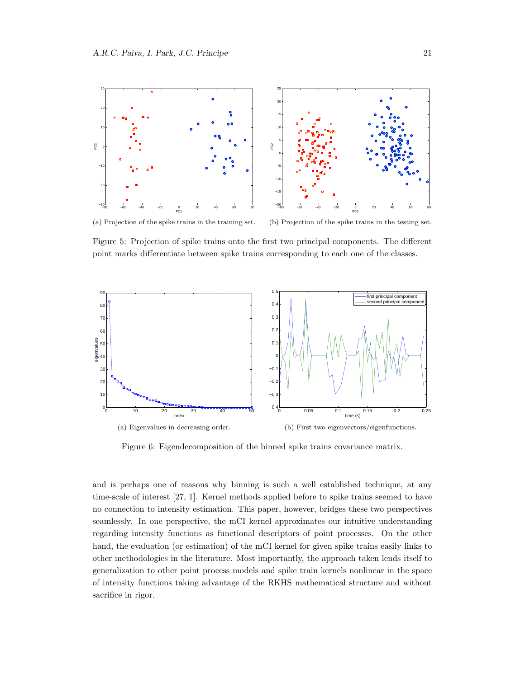![](_page_20_Figure_1.jpeg)

(a) Projection of the spike trains in the training set. (b) Projection of the spike trains in the testing set.

Figure 5: Projection of spike trains onto the first two principal components. The different point marks differentiate between spike trains corresponding to each one of the classes.

![](_page_20_Figure_4.jpeg)

Figure 6: Eigendecomposition of the binned spike trains covariance matrix.

and is perhaps one of reasons why binning is such a well established technique, at any time-scale of interest [27, 1]. Kernel methods applied before to spike trains seemed to have no connection to intensity estimation. This paper, however, bridges these two perspectives seamlessly. In one perspective, the mCI kernel approximates our intuitive understanding regarding intensity functions as functional descriptors of point processes. On the other hand, the evaluation (or estimation) of the mCI kernel for given spike trains easily links to other methodologies in the literature. Most importantly, the approach taken lends itself to generalization to other point process models and spike train kernels nonlinear in the space of intensity functions taking advantage of the RKHS mathematical structure and without sacrifice in rigor.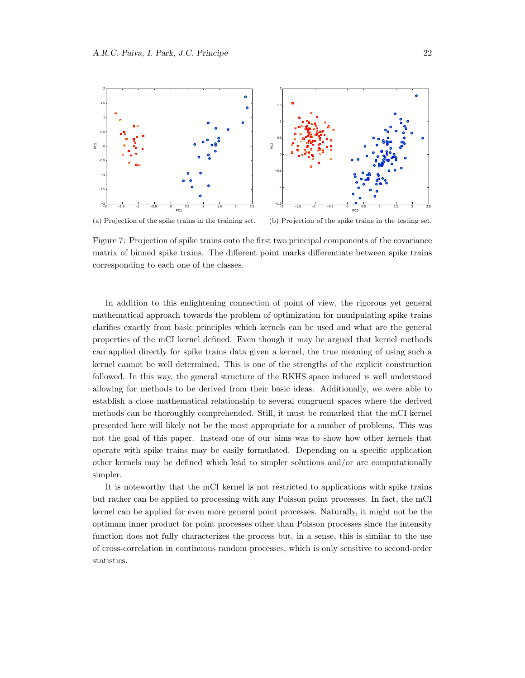![](_page_21_Figure_1.jpeg)

(a) Projection of the spike trains in the training set.

(b) Projection of the spike trains in the testing set.

Figure 7: Projection of spike trains onto the first two principal components of the covariance matrix of binned spike trains. The different point marks differentiate between spike trains corresponding to each one of the classes.

In addition to this enlightening connection of point of view, the rigorous yet general mathematical approach towards the problem of optimization for manipulating spike trains clarifies exactly from basic principles which kernels can be used and what are the general properties of the mCI kernel defined. Even though it may be argued that kernel methods can applied directly for spike trains data given a kernel, the true meaning of using such a kernel cannot be well determined. This is one of the strengths of the explicit construction followed. In this way, the general structure of the RKHS space induced is well understood allowing for methods to be derived from their basic ideas. Additionally, we were able to establish a close mathematical relationship to several congruent spaces where the derived methods can be thoroughly comprehended. Still, it must be remarked that the mCI kernel presented here will likely not be the most appropriate for a number of problems. This was not the goal of this paper. Instead one of our aims was to show how other kernels that operate with spike trains may be easily formulated. Depending on a specific application other kernels may be defined which lead to simpler solutions and/or are computationally simpler.

It is noteworthy that the mCI kernel is not restricted to applications with spike trains but rather can be applied to processing with any Poisson point processes. In fact, the mCI kernel can be applied for even more general point processes. Naturally, it might not be the optimum inner product for point processes other than Poisson processes since the intensity function does not fully characterizes the process but, in a sense, this is similar to the use of cross-correlation in continuous random processes, which is only sensitive to second-order statistics.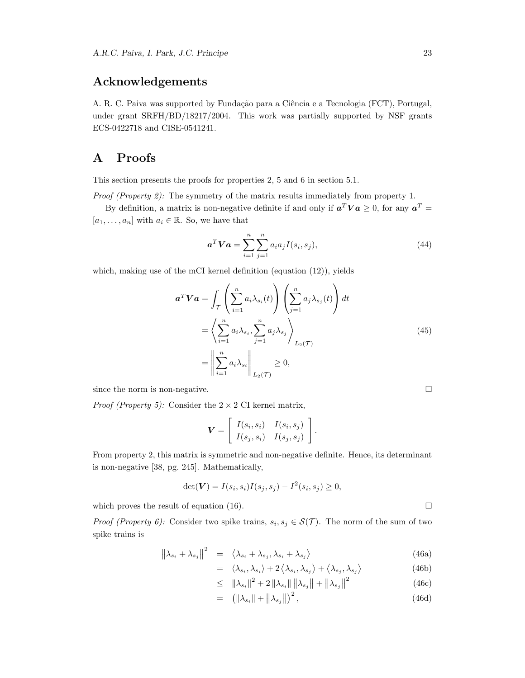## Acknowledgements

A. R. C. Paiva was supported by Fundação para a Ciência e a Tecnologia (FCT), Portugal, under grant SRFH/BD/18217/2004. This work was partially supported by NSF grants ECS-0422718 and CISE-0541241.

## A Proofs

This section presents the proofs for properties 2, 5 and 6 in section 5.1.

Proof (Property 2): The symmetry of the matrix results immediately from property 1.

By definition, a matrix is non-negative definite if and only if  $a^T V a \ge 0$ , for any  $a^T =$  $[a_1, \ldots, a_n]$  with  $a_i \in \mathbb{R}$ . So, we have that

$$
\mathbf{a}^T \mathbf{V} \mathbf{a} = \sum_{i=1}^n \sum_{j=1}^n a_i a_j I(s_i, s_j), \tag{44}
$$

which, making use of the mCI kernel definition (equation  $(12)$ ), yields

$$
\mathbf{a}^T \mathbf{V} \mathbf{a} = \int_{\mathcal{T}} \left( \sum_{i=1}^n a_i \lambda_{s_i}(t) \right) \left( \sum_{j=1}^n a_j \lambda_{s_j}(t) \right) dt
$$
  
= 
$$
\left\langle \sum_{i=1}^n a_i \lambda_{s_i}, \sum_{j=1}^n a_j \lambda_{s_j} \right\rangle_{L_2(\mathcal{T})}
$$
  
= 
$$
\left\| \sum_{i=1}^n a_i \lambda_{s_i} \right\|_{L_2(\mathcal{T})} \ge 0,
$$
 (45)

since the norm is non-negative.  $\Box$ 

*Proof (Property 5):* Consider the  $2 \times 2$  CI kernel matrix,

$$
\boldsymbol{V} = \left[ \begin{array}{cc} I(s_i, s_i) & I(s_i, s_j) \\ I(s_j, s_i) & I(s_j, s_j) \end{array} \right].
$$

From property 2, this matrix is symmetric and non-negative definite. Hence, its determinant is non-negative [38, pg. 245]. Mathematically,

$$
\det(\mathbf{V}) = I(s_i, s_i)I(s_j, s_j) - I^2(s_i, s_j) \ge 0,
$$

which proves the result of equation (16).

*Proof (Property 6)*: Consider two spike trains,  $s_i, s_j \in \mathcal{S}(\mathcal{T})$ . The norm of the sum of two spike trains is

$$
\left\|\lambda_{s_i} + \lambda_{s_j}\right\|^2 = \left\langle\lambda_{s_i} + \lambda_{s_j}, \lambda_{s_i} + \lambda_{s_j}\right\rangle
$$
\n(46a)

$$
= \langle \lambda_{s_i}, \lambda_{s_i} \rangle + 2 \langle \lambda_{s_i}, \lambda_{s_j} \rangle + \langle \lambda_{s_j}, \lambda_{s_j} \rangle \tag{46b}
$$

$$
\leq \|\lambda_{s_i}\|^2 + 2\|\lambda_{s_i}\| \|\lambda_{s_j}\| + \|\lambda_{s_j}\|^2 \tag{46c}
$$

$$
= (\|\lambda_{s_i}\| + \|\lambda_{s_j}\|)^2, \qquad (46d)
$$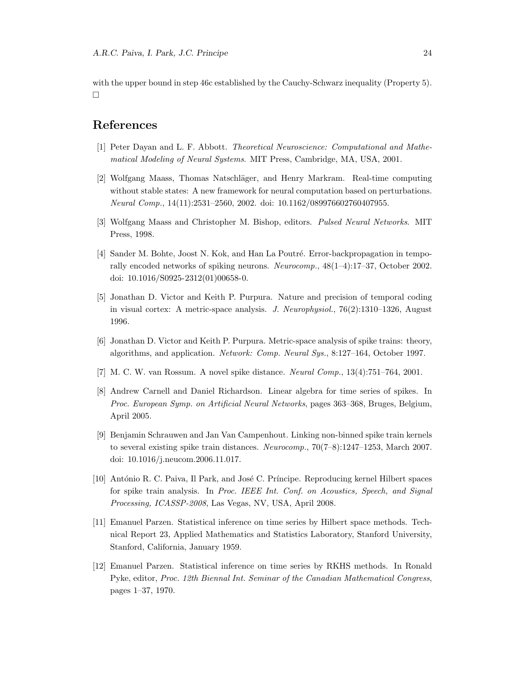with the upper bound in step 46c established by the Cauchy-Schwarz inequality (Property 5).  $\Box$ 

## References

- [1] Peter Dayan and L. F. Abbott. Theoretical Neuroscience: Computational and Mathematical Modeling of Neural Systems. MIT Press, Cambridge, MA, USA, 2001.
- [2] Wolfgang Maass, Thomas Natschläger, and Henry Markram. Real-time computing without stable states: A new framework for neural computation based on perturbations. Neural Comp., 14(11):2531–2560, 2002. doi: 10.1162/089976602760407955.
- [3] Wolfgang Maass and Christopher M. Bishop, editors. Pulsed Neural Networks. MIT Press, 1998.
- [4] Sander M. Bohte, Joost N. Kok, and Han La Poutré. Error-backpropagation in temporally encoded networks of spiking neurons. Neurocomp., 48(1–4):17–37, October 2002. doi: 10.1016/S0925-2312(01)00658-0.
- [5] Jonathan D. Victor and Keith P. Purpura. Nature and precision of temporal coding in visual cortex: A metric-space analysis. J. Neurophysiol., 76(2):1310–1326, August 1996.
- [6] Jonathan D. Victor and Keith P. Purpura. Metric-space analysis of spike trains: theory, algorithms, and application. Network: Comp. Neural Sys., 8:127–164, October 1997.
- [7] M. C. W. van Rossum. A novel spike distance. Neural Comp., 13(4):751–764, 2001.
- [8] Andrew Carnell and Daniel Richardson. Linear algebra for time series of spikes. In Proc. European Symp. on Artificial Neural Networks, pages 363–368, Bruges, Belgium, April 2005.
- [9] Benjamin Schrauwen and Jan Van Campenhout. Linking non-binned spike train kernels to several existing spike train distances. Neurocomp., 70(7–8):1247–1253, March 2007. doi: 10.1016/j.neucom.2006.11.017.
- [10] António R. C. Paiva, Il Park, and José C. Príncipe. Reproducing kernel Hilbert spaces for spike train analysis. In Proc. IEEE Int. Conf. on Acoustics, Speech, and Signal Processing, ICASSP-2008, Las Vegas, NV, USA, April 2008.
- [11] Emanuel Parzen. Statistical inference on time series by Hilbert space methods. Technical Report 23, Applied Mathematics and Statistics Laboratory, Stanford University, Stanford, California, January 1959.
- [12] Emanuel Parzen. Statistical inference on time series by RKHS methods. In Ronald Pyke, editor, Proc. 12th Biennal Int. Seminar of the Canadian Mathematical Congress, pages 1–37, 1970.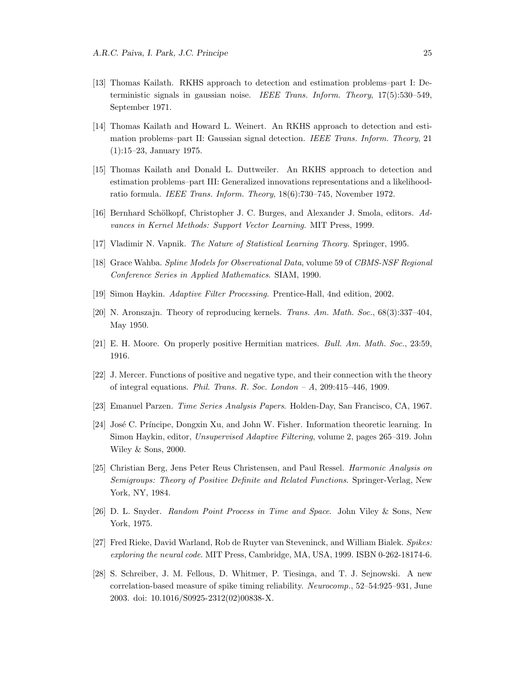- [13] Thomas Kailath. RKHS approach to detection and estimation problems–part I: Deterministic signals in gaussian noise. *IEEE Trans. Inform. Theory*,  $17(5):530-549$ , September 1971.
- [14] Thomas Kailath and Howard L. Weinert. An RKHS approach to detection and estimation problems–part II: Gaussian signal detection. IEEE Trans. Inform. Theory, 21 (1):15–23, January 1975.
- [15] Thomas Kailath and Donald L. Duttweiler. An RKHS approach to detection and estimation problems–part III: Generalized innovations representations and a likelihoodratio formula. IEEE Trans. Inform. Theory, 18(6):730–745, November 1972.
- [16] Bernhard Schölkopf, Christopher J. C. Burges, and Alexander J. Smola, editors. Advances in Kernel Methods: Support Vector Learning. MIT Press, 1999.
- [17] Vladimir N. Vapnik. The Nature of Statistical Learning Theory. Springer, 1995.
- [18] Grace Wahba. Spline Models for Observational Data, volume 59 of CBMS-NSF Regional Conference Series in Applied Mathematics. SIAM, 1990.
- [19] Simon Haykin. Adaptive Filter Processing. Prentice-Hall, 4nd edition, 2002.
- [20] N. Aronszajn. Theory of reproducing kernels. Trans. Am. Math. Soc., 68(3):337–404, May 1950.
- [21] E. H. Moore. On properly positive Hermitian matrices. Bull. Am. Math. Soc., 23:59, 1916.
- [22] J. Mercer. Functions of positive and negative type, and their connection with the theory of integral equations. *Phil. Trans. R. Soc. London – A*,  $209:415-446$ , 1909.
- [23] Emanuel Parzen. Time Series Analysis Papers. Holden-Day, San Francisco, CA, 1967.
- [24] José C. Príncipe, Dongxin Xu, and John W. Fisher. Information theoretic learning. In Simon Haykin, editor, Unsupervised Adaptive Filtering, volume 2, pages 265–319. John Wiley & Sons, 2000.
- [25] Christian Berg, Jens Peter Reus Christensen, and Paul Ressel. Harmonic Analysis on Semigroups: Theory of Positive Definite and Related Functions. Springer-Verlag, New York, NY, 1984.
- [26] D. L. Snyder. Random Point Process in Time and Space. John Viley & Sons, New York, 1975.
- [27] Fred Rieke, David Warland, Rob de Ruyter van Steveninck, and William Bialek. Spikes: exploring the neural code. MIT Press, Cambridge, MA, USA, 1999. ISBN 0-262-18174-6.
- [28] S. Schreiber, J. M. Fellous, D. Whitmer, P. Tiesinga, and T. J. Sejnowski. A new correlation-based measure of spike timing reliability. Neurocomp., 52–54:925–931, June 2003. doi: 10.1016/S0925-2312(02)00838-X.